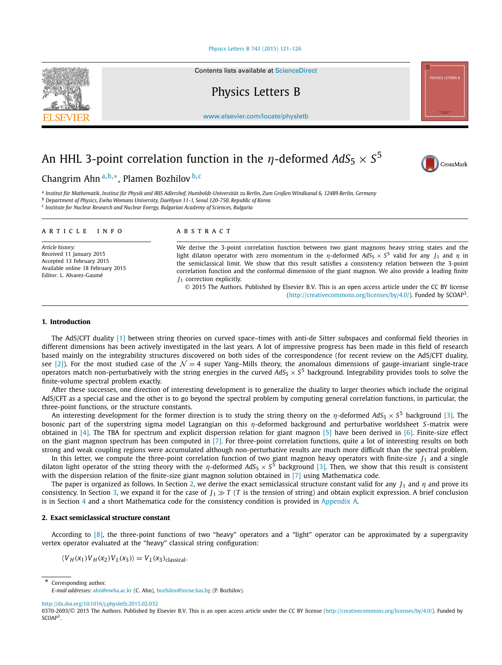### [Physics Letters B 743 \(2015\) 121–126](http://dx.doi.org/10.1016/j.physletb.2015.02.032)

Contents lists available at [ScienceDirect](http://www.ScienceDirect.com/)

Physics Letters B

[www.elsevier.com/locate/physletb](http://www.elsevier.com/locate/physletb)

# An HHL 3-point correlation function in the *η*-deformed  $AdS_5 \times S^5$



a Institut für Mathematik, Institut für Physik and IRIS Adlershof, Humboldt-Universität zu Berlin, Zum Großen Windkanal 6, 12489 Berlin, Germany

<sup>b</sup> *Department of Physics, Ewha Womans University, DaeHyun 11-1, Seoul 120-750, Republic of Korea*

<sup>c</sup> *Institute for Nuclear Research and Nuclear Energy, Bulgarian Academy of Sciences, Bulgaria*

### A R T I C L E I N F O A B S T R A C T

*Article history:* Received 11 January 2015 Accepted 13 February 2015 Available online 18 February 2015 Editor: L. Alvarez-Gaumé

We derive the 3-point correlation function between two giant magnons heavy string states and the light dilaton operator with zero momentum in the *η*-deformed  $AdS_5 \times S^5$  valid for any  $J_1$  and  $\eta$  in the semiclassical limit. We show that this result satisfies a consistency relation between the 3-point correlation function and the conformal dimension of the giant magnon. We also provide a leading finite *J*<sup>1</sup> correction explicitly.

© 2015 The Authors. Published by Elsevier B.V. This is an open access article under the CC BY license [\(http://creativecommons.org/licenses/by/4.0/\)](http://creativecommons.org/licenses/by/4.0/). Funded by  $SCOAP<sup>3</sup>$ .

### **1. Introduction**

The AdS/CFT duality [\[1\]](#page-5-0) between string theories on curved space–times with anti-de Sitter subspaces and conformal field theories in different dimensions has been actively investigated in the last years. A lot of impressive progress has been made in this field of research based mainly on the integrability structures discovered on both sides of the correspondence (for recent review on the AdS/CFT duality, see [\[2\]\)](#page-5-0). For the most studied case of the  $\mathcal{N}=4$  super Yang–Mills theory, the anomalous dimensions of gauge-invariant single-trace operators match non-perturbatively with the string energies in the curved  $AdS_5 \times S^5$  background. Integrability provides tools to solve the finite-volume spectral problem exactly.

After these successes, one direction of interesting development is to generalize the duality to larger theories which include the original AdS/CFT as a special case and the other is to go beyond the spectral problem by computing general correlation functions, in particular, the three-point functions, or the structure constants.

An interesting development for the former direction is to study the string theory on the *η*-deformed *AdS*<sup>5</sup> × *S*<sup>5</sup> background [\[3\].](#page-5-0) The bosonic part of the superstring sigma model Lagrangian on this *η*-deformed background and perturbative worldsheet *S*-matrix were obtained in [\[4\].](#page-5-0) The TBA for spectrum and explicit dispersion relation for giant magnon [\[5\]](#page-5-0) have been derived in [\[6\].](#page-5-0) Finite-size effect on the giant magnon spectrum has been computed in [\[7\].](#page-5-0) For three-point correlation functions, quite a lot of interesting results on both strong and weak coupling regions were accumulated although non-perturbative results are much more difficult than the spectral problem.

In this letter, we compute the three-point correlation function of two giant magnon heavy operators with finite-size *J*<sub>1</sub> and a single dilaton light operator of the string theory with the *η*-deformed  $AdS_5 \times S^5$  background [\[3\].](#page-5-0) Then, we show that this result is consistent with the dispersion relation of the finite-size giant magnon solution obtained in [\[7\]](#page-5-0) using Mathematica code.

The paper is organized as follows. In Section 2, we derive the exact semiclassical structure constant valid for any *J*<sup>1</sup> and *η* and prove its consistency. In Section [3,](#page-3-0) we expand it for the case of  $J_1 \gg T$  (T is the tension of string) and obtain explicit expression. A brief conclusion is in Section [4](#page-4-0) and a short Mathematica code for the consistency condition is provided in [Appendix A.](#page-5-0)

### **2. Exact semiclassical structure constant**

According to [\[8\],](#page-5-0) the three-point functions of two "heavy" operators and a "light" operator can be approximated by a supergravity vertex operator evaluated at the "heavy" classical string configuration:

 $\langle V_H(x_1) V_H(x_2) V_L(x_3) \rangle = V_L(x_3)$ <sub>classical</sub>.

Corresponding author.





CrossMark

*E-mail addresses:* [ahn@ewha.ac.kr](mailto:ahn@ewha.ac.kr) (C. Ahn), [bozhilov@inrne.bas.bg](mailto:bozhilov@inrne.bas.bg) (P. Bozhilov).

<http://dx.doi.org/10.1016/j.physletb.2015.02.032>

<sup>0370-2693/© 2015</sup> The Authors. Published by Elsevier B.V. This is an open access article under the CC BY license [\(http://creativecommons.org/licenses/by/4.0/\)](http://creativecommons.org/licenses/by/4.0/). Funded by SCOAP<sup>3</sup>.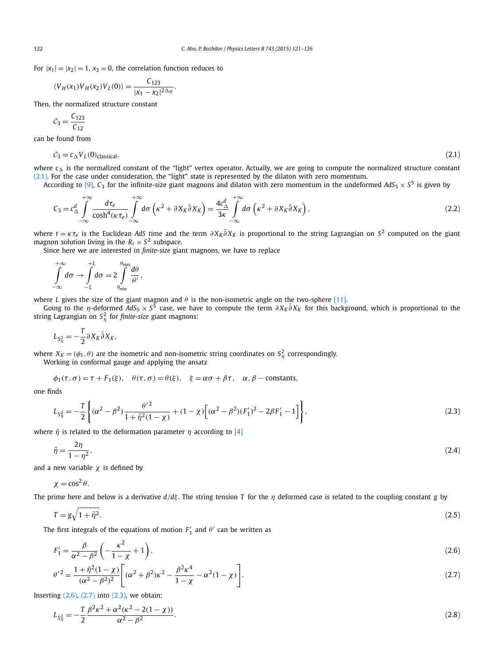For  $|x_1| = |x_2| = 1$ ,  $x_3 = 0$ , the correlation function reduces to

$$
\langle V_H(x_1) V_H(x_2) V_L(0) \rangle = \frac{C_{123}}{|x_1 - x_2|^{2\Delta_H}}.
$$

Then, the normalized structure constant

$$
C_3 = \frac{C_{123}}{C_{12}}
$$

can be found from

$$
C_3 = c_\Delta V_L(0)_{\text{classical}},\tag{2.1}
$$

where  $c_{\Delta}$  is the normalized constant of the "light" vertex operator. Actually, we are going to compute the normalized structure constant (2.1). For the case under consideration, the "light" state is represented by the dilaton with zero momentum.

According to [\[9\],](#page-5-0)  $C_3$  for the infinite-size giant magnons and dilaton with zero momentum in the undeformed  $AdS_5 \times S^5$  is given by

$$
C_3 = c_\Delta^d \int_{-\infty}^{+\infty} \frac{d\tau_e}{\cosh^4(\kappa \tau_e)} \int_{-\infty}^{+\infty} d\sigma \left(\kappa^2 + \partial X_K \bar{\partial} X_K\right) = \frac{4c_\Delta^d}{3\kappa} \int_{-\infty}^{+\infty} d\sigma \left(\kappa^2 + \partial X_K \bar{\partial} X_K\right),\tag{2.2}
$$

where  $t = \kappa \tau_e$  is the Euclidean *AdS* time and the term  $\partial X_K \bar{\partial} X_K$  is proportional to the string Lagrangian on  $S^2$  computed on the giant magnon solution living in the  $R_t \times S^2$  subspace.

Since here we are interested in *finite-size* giant magnons, we have to replace

$$
\int_{-\infty}^{+\infty} d\sigma \to \int_{-L}^{+L} d\sigma = 2 \int_{\theta_{min}}^{\theta_{max}} \frac{d\theta}{\theta'},
$$

where *L* gives the size of the giant magnon and *θ* is the non-isometric angle on the two-sphere [\[11\].](#page-5-0)

Going to the *η*-deformed *AdS<sub>5</sub>* × *S*<sup>5</sup> case, we have to compute the term *∂ X<sub>K</sub>*∂ *X<sub>K</sub>* for this background, which is proportional to the string Lagrangian on  $S^2_\eta$  for *finite-size* giant magnons:

$$
L_{S_{\eta}^2} = -\frac{T}{2} \partial X_K \bar{\partial} X_K,
$$

where  $X_K = (\phi_1, \theta)$  are the isometric and non-isometric string coordinates on  $S_\eta^2$  correspondingly.

Working in conformal gauge and applying the ansatz

$$
\phi_1(\tau, \sigma) = \tau + F_1(\xi), \quad \theta(\tau, \sigma) = \theta(\xi), \quad \xi = \alpha \sigma + \beta \tau, \quad \alpha, \beta
$$
 – constants,

one finds

$$
L_{S_{\eta}^{2}} = -\frac{T}{2} \left\{ (\alpha^{2} - \beta^{2}) \frac{\theta'^{2}}{1 + \tilde{\eta}^{2} (1 - \chi)} + (1 - \chi) \left[ (\alpha^{2} - \beta^{2}) (F_{1}')^{2} - 2\beta F_{1}' - 1 \right] \right\},
$$
\n(2.3)

where  $\tilde{\eta}$  is related to the deformation parameter  $\eta$  according to [\[4\]](#page-5-0)

$$
\tilde{\eta} = \frac{2\eta}{1 - \eta^2},\tag{2.4}
$$

and a new variable  $\chi$  is defined by

$$
\chi = \cos^2 \theta.
$$

The prime here and below is a derivative  $d/d\xi$ . The string tension *T* for the *η* deformed case is related to the coupling constant *g* by

$$
T = g\sqrt{1 + \tilde{\eta}^2}.\tag{2.5}
$$

The first integrals of the equations of motion  $F'_1$  and  $\theta'$  can be written as

$$
F_1' = \frac{\beta}{\alpha^2 - \beta^2} \left( -\frac{\kappa^2}{1 - \chi} + 1 \right),\tag{2.6}
$$

$$
\theta'^2 = \frac{1 + \tilde{\eta}^2 (1 - \chi)}{(\alpha^2 - \beta^2)^2} \bigg[ (\alpha^2 + \beta^2) \kappa^2 - \frac{\beta^2 \kappa^4}{1 - \chi} - \alpha^2 (1 - \chi) \bigg]. \tag{2.7}
$$

Inserting  $(2.6)$ ,  $(2.7)$  into  $(2.3)$ , we obtain:

$$
L_{S_{\eta}^{2}} = -\frac{T}{2} \frac{\beta^{2} \kappa^{2} + \alpha^{2} (\kappa^{2} - 2(1 - \chi))}{\alpha^{2} - \beta^{2}}.
$$
\n(2.8)

<span id="page-1-0"></span>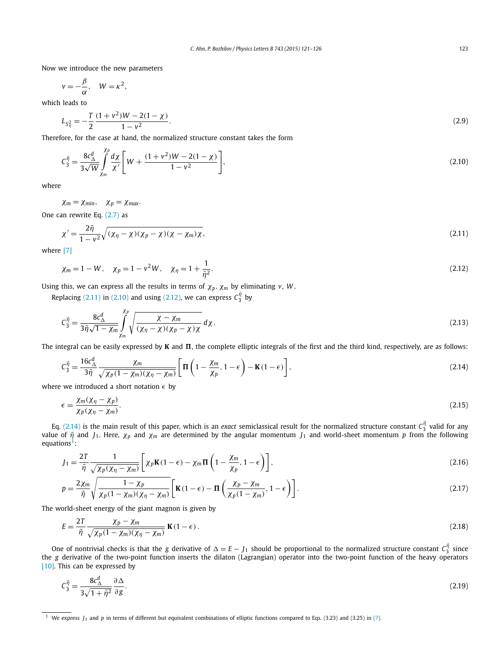<span id="page-2-0"></span>Now we introduce the new parameters

$$
v=-\frac{\beta}{\alpha}, \quad W=\kappa^2,
$$

which leads to

$$
L_{S_{\eta}^{2}} = -\frac{T}{2} \frac{(1 + v^{2})W - 2(1 - \chi)}{1 - v^{2}}.
$$
\n(2.9)

Therefore, for the case at hand, the normalized structure constant takes the form

$$
C_3^{\tilde{\eta}} = \frac{8c_{\Delta}^d}{3\sqrt{W}} \int_{\chi_m}^{\rho} \frac{d\chi}{\chi'} \left[ W + \frac{(1+v^2)W - 2(1-\chi)}{1-v^2} \right],
$$
\n(2.10)

where

 $\chi_m = \chi_{min}, \quad \chi_p = \chi_{max}.$ 

*χp*

One can rewrite Eq. [\(2.7\)](#page-1-0) as

$$
\chi' = \frac{2\tilde{\eta}}{1 - \nu^2} \sqrt{(\chi_{\eta} - \chi)(\chi_{\text{p}} - \chi)(\chi - \chi_{\text{m}})\chi},\tag{2.11}
$$

where [\[7\]](#page-5-0)

$$
\chi_m = 1 - W, \quad \chi_p = 1 - v^2 W, \quad \chi_\eta = 1 + \frac{1}{\tilde{\eta}^2}.
$$
 (2.12)

Using this, we can express all the results in terms of *χp,χ<sup>m</sup>* by eliminating *v*, *W* .

Replacing (2.11) in (2.10) and using (2.12), we can express  $C_3^{\tilde{\eta}}$  by

$$
C_3^{\tilde{\eta}} = \frac{8c_\Delta^d}{3\tilde{\eta}\sqrt{1-\chi_m}} \int_{\chi_m}^{\chi_p} \sqrt{\frac{\chi-\chi_m}{(\chi_\eta-\chi)(\chi_p-\chi)\chi}} \, d\chi. \tag{2.13}
$$

The integral can be easily expressed by **K** and **Π**, the complete elliptic integrals of the first and the third kind, respectively, are as follows:

$$
C_3^{\tilde{\eta}} = \frac{16c_{\Delta}^d}{3\tilde{\eta}} \frac{\chi_m}{\sqrt{\chi_p(1 - \chi_m)(\chi_\eta - \chi_m)}} \left[ \Pi \left( 1 - \frac{\chi_m}{\chi_p}, 1 - \epsilon \right) - \mathbf{K}(1 - \epsilon) \right],\tag{2.14}
$$

where we introduced a short notation  $\epsilon$  by

$$
\epsilon = \frac{\chi_m(\chi_\eta - \chi_p)}{\chi_p(\chi_\eta - \chi_m)}.\tag{2.15}
$$

Eq.  $(2.14)$  is the main result of this paper, which is an *exact* semiclassical result for the normalized structure constant  $\mathcal{C}^{\tilde\eta}_3$  valid for any value of  $\tilde{\eta}$  and *J*<sub>1</sub>. Here,  $\chi_p$  and  $\chi_m$  are determined by the angular momentum *J*<sub>1</sub> and world-sheet momentum *p* from the following equations<sup>1</sup>:

$$
J_1 = \frac{2T}{\tilde{\eta}} \frac{1}{\sqrt{\chi_p(\chi_\eta - \chi_m)}} \left[ \chi_p \mathbf{K}(1 - \epsilon) - \chi_m \mathbf{\Pi} \left( 1 - \frac{\chi_m}{\chi_p}, 1 - \epsilon \right) \right],\tag{2.16}
$$

$$
p = \frac{2\chi_m}{\tilde{\eta}} \sqrt{\frac{1 - \chi_p}{\chi_p (1 - \chi_m)(\chi_\eta - \chi_m)}} \left[ \mathbf{K} (1 - \epsilon) - \mathbf{\Pi} \left( \frac{\chi_p - \chi_m}{\chi_p (1 - \chi_m)}, 1 - \epsilon \right) \right].
$$
 (2.17)

The world-sheet energy of the giant magnon is given by

$$
E = \frac{2T}{\tilde{\eta}} \frac{\chi_p - \chi_m}{\sqrt{\chi_p (1 - \chi_m)(\chi_\eta - \chi_m)}} \mathbf{K} (1 - \epsilon).
$$
 (2.18)

One of nontrivial checks is that the *g* derivative of  $\Delta = E - J_1$  should be proportional to the normalized structure constant  $C_3^{\tilde{\eta}}$  since the *g* derivative of the two-point function inserts the dilaton (Lagrangian) operator into the two-point function of the heavy operators [\[10\].](#page-5-0) This can be expressed by

$$
C_3^{\tilde{\eta}} = \frac{8c_{\Delta}^d}{3\sqrt{1+\tilde{\eta}^2}} \frac{\partial \Delta}{\partial g}.
$$
\n(2.19)

<sup>1</sup> We express *J*<sup>1</sup> and *p* in terms of different but equivalent combinations of elliptic functions compared to Eqs. (3.23) and (3.25) in [\[7\].](#page-5-0)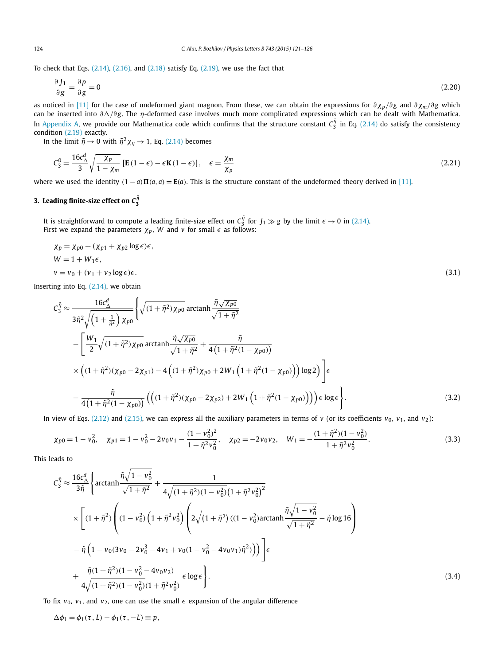<span id="page-3-0"></span>To check that Eqs.  $(2.14)$ ,  $(2.16)$ , and  $(2.18)$  satisfy Eq.  $(2.19)$ , we use the fact that

$$
\frac{\partial J_1}{\partial g} = \frac{\partial p}{\partial g} = 0\tag{2.20}
$$

as noticed in [\[11\]](#page-5-0) for the case of undeformed giant magnon. From these, we can obtain the expressions for *∂χ<sup>p</sup> /∂ g* and *∂χm/∂ g* which can be inserted into  $\partial\Delta/\partial g$ . The *η*-deformed case involves much more complicated expressions which can be dealt with Mathematica. In [Appendix A,](#page-5-0) we provide our Mathematica code which confirms that the structure constant  $\zeta_3^{\tilde\eta}$  in Eq. [\(2.14\)](#page-2-0) do satisfy the consistency condition [\(2.19\)](#page-2-0) exactly.

In the limit  $\tilde{\eta} \to 0$  with  $\tilde{\eta}^2 \chi_{\eta} \to 1$ , Eq. [\(2.14\)](#page-2-0) becomes

$$
C_3^0 = \frac{16c_{\Delta}^d}{3} \sqrt{\frac{\chi_p}{1 - \chi_m}} \left[ E(1 - \epsilon) - \epsilon K(1 - \epsilon) \right], \quad \epsilon = \frac{\chi_m}{\chi_p}
$$
\n(2.21)

where we used the identity  $(1-a)\Pi(a,a) = \mathbf{E}(a)$ . This is the structure constant of the undeformed theory derived in [\[11\].](#page-5-0)

## **3.** Leading finite-size effect on  $\mathsf{C}_3^{\tilde{\eta}}$

It is straightforward to compute a leading finite-size effect on  $C_3^{\tilde\eta}$  for  $J_1\gg g$  by the limit  $\epsilon\to 0$  in [\(2.14\).](#page-2-0) First we expand the parameters  $\chi_p$ , W and v for small  $\epsilon$  as follows:

$$
\begin{aligned} \chi_p &= \chi_{p0} + (\chi_{p1} + \chi_{p2} \log \epsilon) \epsilon, \\ W &= 1 + W_1 \epsilon, \\ v &= v_0 + (v_1 + v_2 \log \epsilon) \epsilon. \end{aligned} \tag{3.1}
$$

Inserting into Eq. [\(2.14\),](#page-2-0) we obtain

$$
C_{3}^{\tilde{\eta}} \approx \frac{16c_{\Delta}^{d}}{3\tilde{\eta}^{2}\sqrt{\left(1+\frac{1}{\tilde{\eta}^{2}}\right)\chi_{p0}}}\left\{\sqrt{(1+\tilde{\eta}^{2})\chi_{p0}}\arctanh\frac{\tilde{\eta}\sqrt{\chi_{p0}}}{\sqrt{1+\tilde{\eta}^{2}}} \right\}-\left[\frac{W_{1}}{2}\sqrt{(1+\tilde{\eta}^{2})\chi_{p0}}\arctanh\frac{\tilde{\eta}\sqrt{\chi_{p0}}}{\sqrt{1+\tilde{\eta}^{2}}}+\frac{\tilde{\eta}}{4\left(1+\tilde{\eta}^{2}(1-\chi_{p0})\right)}\right] \times \left((1+\tilde{\eta}^{2})(\chi_{p0}-2\chi_{p1})-4\left((1+\tilde{\eta}^{2})\chi_{p0}+2W_{1}\left(1+\tilde{\eta}^{2}(1-\chi_{p0})\right)\right)\log 2\right)\right]\epsilon-\frac{\tilde{\eta}}{4\left(1+\tilde{\eta}^{2}(1-\chi_{p0})\right)}\left(\left((1+\tilde{\eta}^{2})(\chi_{p0}-2\chi_{p2})+2W_{1}\left(1+\tilde{\eta}^{2}(1-\chi_{p0})\right)\right)\epsilon\log \epsilon\right).
$$
\n(3.2)

In view of Eqs. [\(2.12\)](#page-2-0) and [\(2.15\),](#page-2-0) we can express all the auxiliary parameters in terms of *v* (or its coefficients  $v_0$ ,  $v_1$ , and  $v_2$ ):

$$
\chi_{p0} = 1 - v_0^2, \quad \chi_{p1} = 1 - v_0^2 - 2v_0v_1 - \frac{(1 - v_0^2)^2}{1 + \tilde{\eta}^2 v_0^2}, \quad \chi_{p2} = -2v_0v_2, \quad W_1 = -\frac{(1 + \tilde{\eta}^2)(1 - v_0^2)}{1 + \tilde{\eta}^2 v_0^2}.
$$
\n
$$
(3.3)
$$

This leads to

$$
C_3^{\tilde{\eta}} \approx \frac{16c_{\Delta}^d}{3\tilde{\eta}} \left\{ \arctanh \frac{\tilde{\eta}\sqrt{1 - v_0^2}}{\sqrt{1 + \tilde{\eta}^2}} + \frac{1}{4\sqrt{(1 + \tilde{\eta}^2)(1 - v_0^2)}(1 + \tilde{\eta}^2 v_0^2)^2} \right.\newline \times \left[ (1 + \tilde{\eta}^2) \left( (1 - v_0^2) \left( 1 + \tilde{\eta}^2 v_0^2 \right) \left( 2\sqrt{(1 + \tilde{\eta}^2)((1 - v_0^2)\arctan\frac{\tilde{\eta}\sqrt{1 - v_0^2}}{\sqrt{1 + \tilde{\eta}^2}} - \tilde{\eta} \log 16 \right) \right.\newline - \tilde{\eta} \left( 1 - v_0(3v_0 - 2v_0^3 - 4v_1 + v_0(1 - v_0^2 - 4v_0v_1)\tilde{\eta}^2) \right) \right) \left\{ \epsilon \right.\newline + \frac{\tilde{\eta}(1 + \tilde{\eta}^2)(1 - v_0^2 - 4v_0v_2)}{4\sqrt{(1 + \tilde{\eta}^2)(1 - v_0^2)(1 + \tilde{\eta}^2 v_0^2)}} \epsilon \log \epsilon \right\}.
$$
\n(3.4)

To fix  $v_0$ ,  $v_1$ , and  $v_2$ , one can use the small  $\epsilon$  expansion of the angular difference

 $\Delta \phi_1 = \phi_1(\tau, L) - \phi_1(\tau, -L) \equiv p$ ,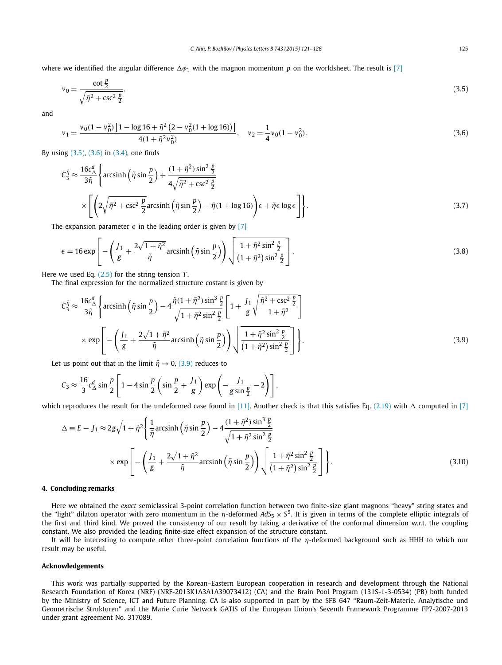<span id="page-4-0"></span>where we identified the angular difference  $\Delta\phi_1$  with the magnon momentum *p* on the worldsheet. The result is [\[7\]](#page-5-0)

$$
v_0 = \frac{\cot \frac{p}{2}}{\sqrt{\tilde{\eta}^2 + \csc^2 \frac{p}{2}}},\tag{3.5}
$$

and

$$
v_1 = \frac{v_0(1 - v_0^2) \left[1 - \log 16 + \tilde{\eta}^2 \left(2 - v_0^2 (1 + \log 16)\right)\right]}{4(1 + \tilde{\eta}^2 v_0^2)}, \quad v_2 = \frac{1}{4} v_0(1 - v_0^2).
$$
\n(3.6)

By using (3.5), (3.6) in [\(3.4\),](#page-3-0) one finds

$$
C_3^{\tilde{\eta}} \approx \frac{16c_{\Delta}^d}{3\tilde{\eta}} \left\{ \arcsinh\left(\tilde{\eta}\sin\frac{p}{2}\right) + \frac{(1+\tilde{\eta}^2)\sin^2\frac{p}{2}}{4\sqrt{\tilde{\eta}^2 + \csc^2\frac{p}{2}}} \right.\n\times \left[ \left( 2\sqrt{\tilde{\eta}^2 + \csc^2\frac{p}{2}} \arcsinh\left(\tilde{\eta}\sin\frac{p}{2}\right) - \tilde{\eta}(1 + \log 16) \right) \epsilon + \tilde{\eta}\epsilon \log\epsilon \right] \right\}.\n\tag{3.7}
$$

The expansion parameter  $\epsilon$  in the leading order is given by [\[7\]](#page-5-0)

$$
\epsilon = 16 \exp\left[-\left(\frac{J_1}{g} + \frac{2\sqrt{1+\tilde{\eta}^2}}{\tilde{\eta}}\text{arcsinh}\left(\tilde{\eta}\sin\frac{p}{2}\right)\right)\sqrt{\frac{1+\tilde{\eta}^2\sin^2\frac{p}{2}}{\left(1+\tilde{\eta}^2\right)\sin^2\frac{p}{2}}}\right].\tag{3.8}
$$

Here we used Eq. [\(2.5\)](#page-1-0) for the string tension *T* .

The final expression for the normalized structure costant is given by

$$
C_3^{\tilde{\eta}} \approx \frac{16c_{\Delta}^d}{3\tilde{\eta}} \left\{ \arcsinh\left(\tilde{\eta}\sin\frac{p}{2}\right) - 4\frac{\tilde{\eta}(1+\tilde{\eta}^2)\sin^3\frac{p}{2}}{\sqrt{1+\tilde{\eta}^2\sin^2\frac{p}{2}}} \left[1 + \frac{J_1}{g}\sqrt{\frac{\tilde{\eta}^2 + \csc^2\frac{p}{2}}{1+\tilde{\eta}^2}}\right] \right\}
$$

$$
\times \exp\left[-\left(\frac{J_1}{g} + \frac{2\sqrt{1+\tilde{\eta}^2}}{\tilde{\eta}}\arcsinh\left(\tilde{\eta}\sin\frac{p}{2}\right)\right)\sqrt{\frac{1+\tilde{\eta}^2\sin^2\frac{p}{2}}{(1+\tilde{\eta}^2)\sin^2\frac{p}{2}}} \right].
$$
(3.9)

Let us point out that in the limit  $\tilde{\eta} \rightarrow 0$ , (3.9) reduces to

$$
C_3 \approx \frac{16}{3} c_\Delta^d \sin \frac{p}{2} \left[ 1 - 4 \sin \frac{p}{2} \left( \sin \frac{p}{2} + \frac{J_1}{g} \right) \exp \left( -\frac{J_1}{g \sin \frac{p}{2}} - 2 \right) \right],
$$

which reproduces the result for the undeformed case found in [\[11\].](#page-5-0) Another check is that this satisfies Eq. [\(2.19\)](#page-2-0) with  $\Delta$  computed in [\[7\]](#page-5-0)

$$
\Delta \equiv E - J_1 \approx 2g\sqrt{1 + \tilde{\eta}^2} \left\{ \frac{1}{\tilde{\eta}} \operatorname{arcsinh}\left(\tilde{\eta} \sin\frac{p}{2}\right) - 4\frac{(1 + \tilde{\eta}^2)\sin^3\frac{p}{2}}{\sqrt{1 + \tilde{\eta}^2 \sin^2\frac{p}{2}}} \right\}
$$

$$
\times \exp\left[ -\left(\frac{J_1}{g} + \frac{2\sqrt{1 + \tilde{\eta}^2}}{\tilde{\eta}} \operatorname{arcsinh}\left(\tilde{\eta} \sin\frac{p}{2}\right) \right) \sqrt{\frac{1 + \tilde{\eta}^2 \sin^2\frac{p}{2}}{(1 + \tilde{\eta}^2)\sin^2\frac{p}{2}}} \right] \right\}.
$$
(3.10)

### **4. Concluding remarks**

Here we obtained the *exact* semiclassical 3-point correlation function between two finite-size giant magnons "heavy" string states and the "light" dilaton operator with zero momentum in the *η*-deformed *AdS*<sub>5</sub> ×  $S<sup>5</sup>$ . It is given in terms of the complete elliptic integrals of the first and third kind. We proved the consistency of our result by taking a derivative of the conformal dimension w.r.t. the coupling constant. We also provided the leading finite-size effect expansion of the structure constant.

It will be interesting to compute other three-point correlation functions of the *η*-deformed background such as HHH to which our result may be useful.

### **Acknowledgements**

This work was partially supported by the Korean–Eastern European cooperation in research and development through the National Research Foundation of Korea (NRF) (NRF-2013K1A3A1A39073412) (CA) and the Brain Pool Program (131S-1-3-0534) (PB) both funded by the Ministry of Science, ICT and Future Planning. CA is also supported in part by the SFB 647 "Raum-Zeit-Materie. Analytische und Geometrische Strukturen" and the Marie Curie Network GATIS of the European Union's Seventh Framework Programme FP7-2007-2013 under grant agreement No. 317089.